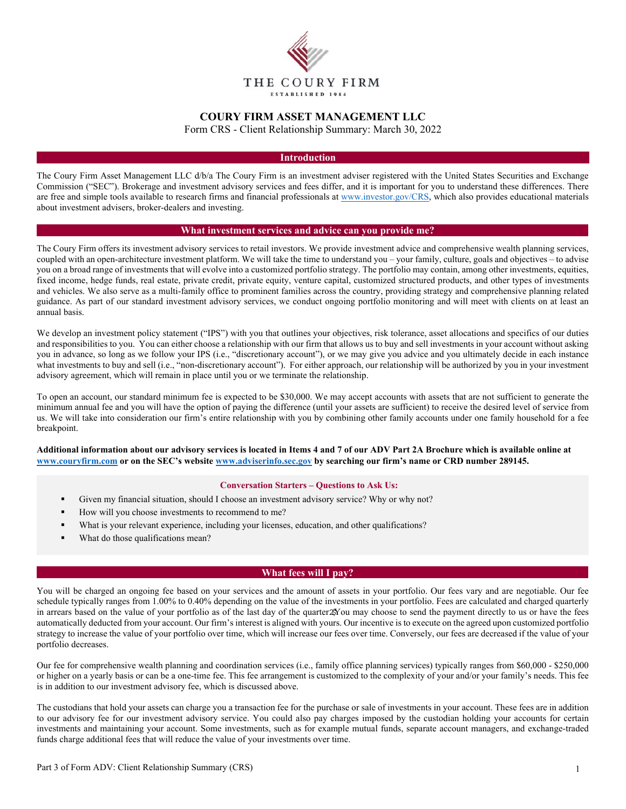

# **COURY FIRM ASSET MANAGEMENT LLC**

Form CRS - Client Relationship Summary: March 30, 2022

## **Introduction**

The Coury Firm Asset Management LLC d/b/a The Coury Firm is an investment adviser registered with the United States Securities and Exchange Commission ("SEC"). Brokerage and investment advisory services and fees differ, and it is important for you to understand these differences. There are free and simple tools available to research firms and financial professionals at www.investor.gov/CRS, which also provides educational materials about investment advisers, broker-dealers and investing.

#### **What investment services and advice can you provide me?**

The Coury Firm offers its investment advisory services to retail investors. We provide investment advice and comprehensive wealth planning services, coupled with an open-architecture investment platform. We will take the time to understand you – your family, culture, goals and objectives – to advise you on a broad range of investments that will evolve into a customized portfolio strategy. The portfolio may contain, among other investments, equities, fixed income, hedge funds, real estate, private credit, private equity, venture capital, customized structured products, and other types of investments and vehicles. We also serve as a multi-family office to prominent families across the country, providing strategy and comprehensive planning related guidance. As part of our standard investment advisory services, we conduct ongoing portfolio monitoring and will meet with clients on at least an annual basis.

We develop an investment policy statement ("IPS") with you that outlines your objectives, risk tolerance, asset allocations and specifics of our duties and responsibilities to you. You can either choose a relationship with our firm that allows us to buy and sell investments in your account without asking you in advance, so long as we follow your IPS (i.e., "discretionary account"), or we may give you advice and you ultimately decide in each instance what investments to buy and sell (i.e., "non-discretionary account"). For either approach, our relationship will be authorized by you in your investment advisory agreement, which will remain in place until you or we terminate the relationship.

To open an account, our standard minimum fee is expected to be \$30,000. We may accept accounts with assets that are not sufficient to generate the minimum annual fee and you will have the option of paying the difference (until your assets are sufficient) to receive the desired level of service from us. We will take into consideration our firm's entire relationship with you by combining other family accounts under one family household for a fee breakpoint.

**Additional information about our advisory services is located in Items 4 and 7 of our ADV Part 2A Brochure which is available online at www.couryfirm.com or on the SEC's website www.adviserinfo.sec.gov by searching our firm's name or CRD number 289145.** 

#### **Conversation Starters – Questions to Ask Us:**

- Given my financial situation, should I choose an investment advisory service? Why or why not?
- How will you choose investments to recommend to me?
- What is your relevant experience, including your licenses, education, and other qualifications?
- What do those qualifications mean?

# **What fees will I pay?**

You will be charged an ongoing fee based on your services and the amount of assets in your portfolio. Our fees vary and are negotiable. Our fee schedule typically ranges from 1.00% to 0.40% depending on the value of the investments in your portfolio. Fees are calculated and charged quarterly in arrears based on the value of your portfolio as of the last day of the quarter  $\mathcal{X}$  ou may choose to send the payment directly to us or have the fees automatically deducted from your account. Our firm's interest is aligned with yours. Our incentive is to execute on the agreed upon customized portfolio strategy to increase the value of your portfolio over time, which will increase our fees over time. Conversely, our fees are decreased if the value of your portfolio decreases.

Our fee for comprehensive wealth planning and coordination services (i.e., family office planning services) typically ranges from \$60,000 - \$250,000 or higher on a yearly basis or can be a one-time fee. This fee arrangement is customized to the complexity of your and/or your family's needs. This fee is in addition to our investment advisory fee, which is discussed above.

The custodians that hold your assets can charge you a transaction fee for the purchase or sale of investments in your account. These fees are in addition to our advisory fee for our investment advisory service. You could also pay charges imposed by the custodian holding your accounts for certain investments and maintaining your account. Some investments, such as for example mutual funds, separate account managers, and exchange-traded funds charge additional fees that will reduce the value of your investments over time.